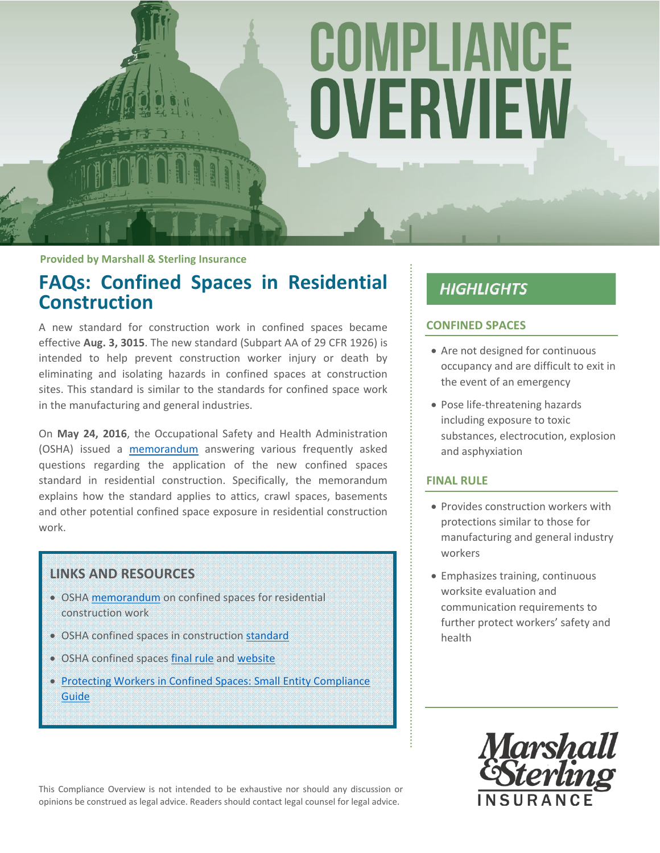# COMPLIANCE OVERVIEW

**Provided by Marshall & Sterling Insurance**

## **FAQs: Confined Spaces in Residential Construction**

A new standard for construction work in confined spaces became effective **Aug. 3, 3015**. The new standard (Subpart AA of 29 CFR 1926) is intended to help prevent construction worker injury or death by eliminating and isolating hazards in confined spaces at construction sites. This standard is similar to the standards for confined space work in the manufacturing and general industries.

On **May 24, 2016**, the Occupational Safety and Health Administration (OSHA) issued a memorandum answering various frequently asked questions regarding the application of the new confined spaces standard in residential construction. Specifically, the memorandum explains how the standard applies to attics, crawl spaces, basements and other potential confined space exposure in residential construction work.

## **LINKS AND RESOURCES**

- OSHA memorandum on confined spaces for residential construction work
- OSHA confined spaces in construction standard
- OSHA confined spaces final rule and website
- **Protecting Workers in Confined Spaces: Small Entity Compliance** Guide

# **HIGHLIGHTS**

## **CONFINED SPACES**

- Are not designed for continuous occupancy and are difficult to exit in the event of an emergency
- Pose life-threatening hazards including exposure to toxic substances, electrocution, explosion and asphyxiation

## **FINAL RULE**

- Provides construction workers with protections similar to those for manufacturing and general industry workers
- Emphasizes training, continuous worksite evaluation and communication requirements to further protect workers' safety and health

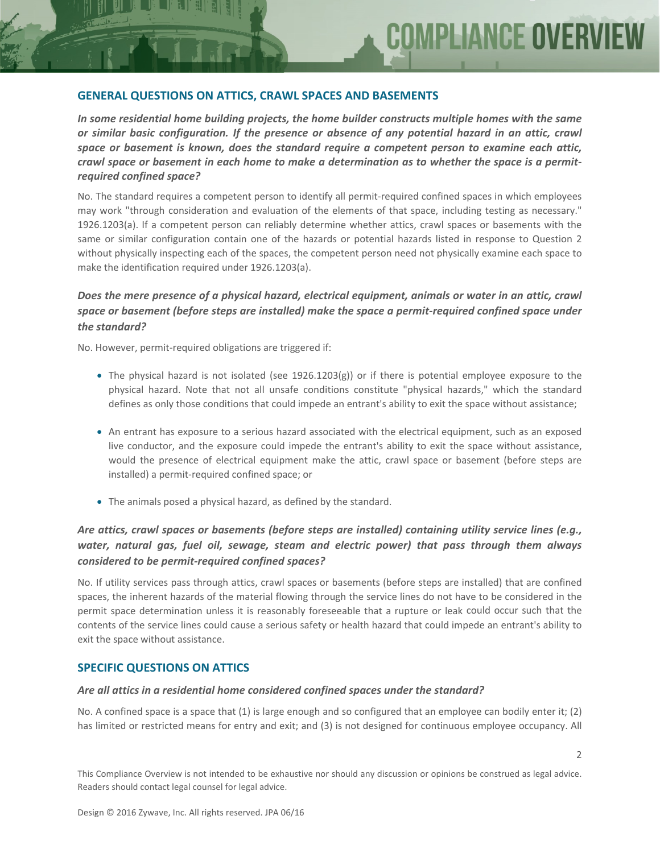#### **GENERAL QUESTIONS ON ATTICS, CRAWL SPACES AND BASEMENTS**

*In some residential home building projects, the home builder constructs multiple homes with the same or similar basic configuration. If the presence or absence of any potential hazard in an attic, crawl space or basement is known, does the standard require a competent person to examine each attic,* crawl space or basement in each home to make a determination as to whether the space is a permit*required confined space?*

No. The standard requires a competent person to identify all permit‐required confined spaces in which employees may work "through consideration and evaluation of the elements of that space, including testing as necessary." 1926.1203(a). If a competent person can reliably determine whether attics, crawl spaces or basements with the same or similar configuration contain one of the hazards or potential hazards listed in response to Question 2 without physically inspecting each of the spaces, the competent person need not physically examine each space to make the identification required under 1926.1203(a).

## *Does the mere presence of a physical hazard, electrical equipment, animals or water in an attic, crawl space or basement (before steps are installed) make the space a permit‐required confined space under the standard?*

No. However, permit‐required obligations are triggered if:

- The physical hazard is not isolated (see 1926.1203(g)) or if there is potential employee exposure to the physical hazard. Note that not all unsafe conditions constitute "physical hazards," which the standard defines as only those conditions that could impede an entrant's ability to exit the space without assistance;
- An entrant has exposure to a serious hazard associated with the electrical equipment, such as an exposed live conductor, and the exposure could impede the entrant's ability to exit the space without assistance, would the presence of electrical equipment make the attic, crawl space or basement (before steps are installed) a permit‐required confined space; or
- The animals posed a physical hazard, as defined by the standard.

## *Are attics, crawl spaces or basements (before steps are installed) containing utility service lines (e.g., water, natural gas, fuel oil, sewage, steam and electric power) that pass through them always considered to be permit‐required confined spaces?*

No. If utility services pass through attics, crawl spaces or basements (before steps are installed) that are confined spaces, the inherent hazards of the material flowing through the service lines do not have to be considered in the permit space determination unless it is reasonably foreseeable that a rupture or leak could occur such that the contents of the service lines could cause a serious safety or health hazard that could impede an entrant's ability to exit the space without assistance.

#### **SPECIFIC QUESTIONS ON ATTICS**

#### *Are all attics in a residential home considered confined spaces under the standard?*

No. A confined space is a space that (1) is large enough and so configured that an employee can bodily enter it; (2) has limited or restricted means for entry and exit; and (3) is not designed for continuous employee occupancy. All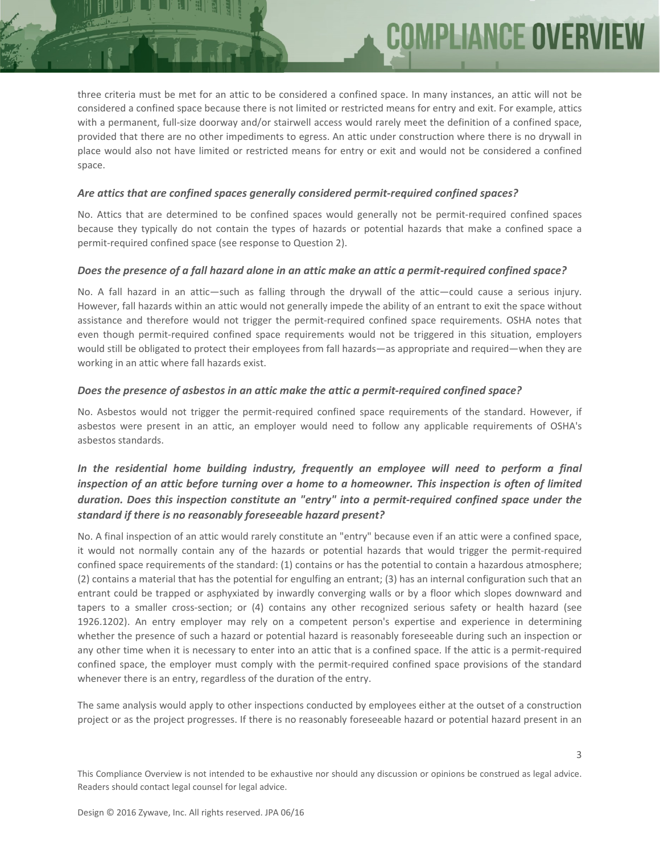three criteria must be met for an attic to be considered a confined space. In many instances, an attic will not be considered a confined space because there is not limited or restricted means for entry and exit. For example, attics with a permanent, full-size doorway and/or stairwell access would rarely meet the definition of a confined space, provided that there are no other impediments to egress. An attic under construction where there is no drywall in place would also not have limited or restricted means for entry or exit and would not be considered a confined space.

**COMPLIANCE OVER** 

#### *Are attics that are confined spaces generally considered permit‐required confined spaces?*

No. Attics that are determined to be confined spaces would generally not be permit‐required confined spaces because they typically do not contain the types of hazards or potential hazards that make a confined space a permit-required confined space (see response to Question 2).

#### Does the presence of a fall hazard alone in an attic make an attic a permit-required confined space?

No. A fall hazard in an attic—such as falling through the drywall of the attic—could cause a serious injury. However, fall hazards within an attic would not generally impede the ability of an entrant to exit the space without assistance and therefore would not trigger the permit-required confined space requirements. OSHA notes that even though permit-required confined space requirements would not be triggered in this situation, employers would still be obligated to protect their employees from fall hazards—as appropriate and required—when they are working in an attic where fall hazards exist.

#### *Does the presence of asbestos in an attic make the attic a permit‐required confined space?*

No. Asbestos would not trigger the permit-required confined space requirements of the standard. However, if asbestos were present in an attic, an employer would need to follow any applicable requirements of OSHA's asbestos standards.

## *In the residential home building industry, frequently an employee will need to perform a final* inspection of an attic before turning over a home to a homeowner. This inspection is often of limited *duration. Does this inspection constitute an "entry" into a permit‐required confined space under the standard if there is no reasonably foreseeable hazard present?*

No. A final inspection of an attic would rarely constitute an "entry" because even if an attic were a confined space, it would not normally contain any of the hazards or potential hazards that would trigger the permit-required confined space requirements of the standard: (1) contains or has the potential to contain a hazardous atmosphere; (2) contains a material that has the potential for engulfing an entrant; (3) has an internal configuration such that an entrant could be trapped or asphyxiated by inwardly converging walls or by a floor which slopes downward and tapers to a smaller cross‐section; or (4) contains any other recognized serious safety or health hazard (see 1926.1202). An entry employer may rely on a competent person's expertise and experience in determining whether the presence of such a hazard or potential hazard is reasonably foreseeable during such an inspection or any other time when it is necessary to enter into an attic that is a confined space. If the attic is a permit-required confined space, the employer must comply with the permit-required confined space provisions of the standard whenever there is an entry, regardless of the duration of the entry.

The same analysis would apply to other inspections conducted by employees either at the outset of a construction project or as the project progresses. If there is no reasonably foreseeable hazard or potential hazard present in an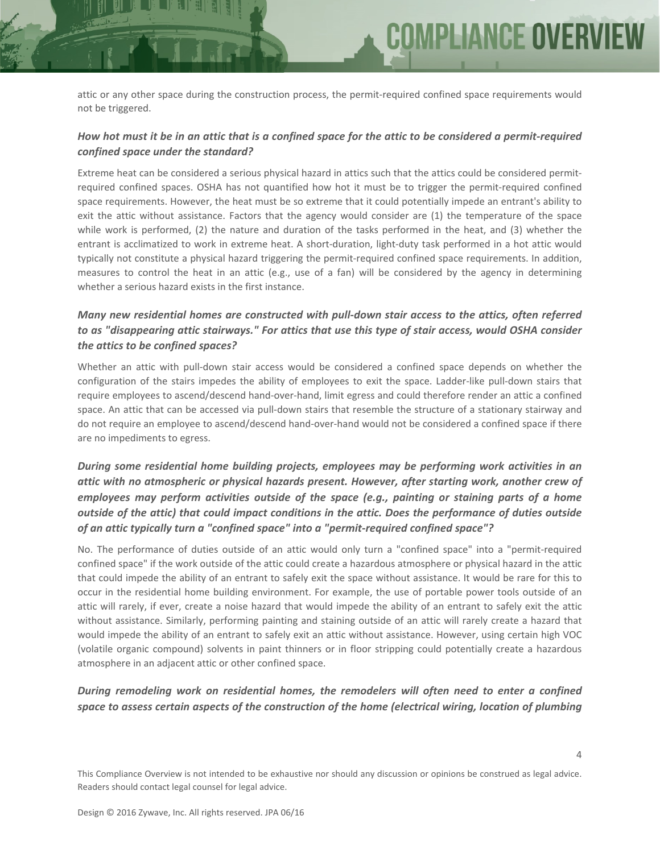**COMPLIANCE OVER** 

## How hot must it be in an attic that is a confined space for the attic to be considered a permit-required *confined space under the standard?*

Extreme heat can be considered a serious physical hazard in attics such that the attics could be considered permitrequired confined spaces. OSHA has not quantified how hot it must be to trigger the permit‐required confined space requirements. However, the heat must be so extreme that it could potentially impede an entrant's ability to exit the attic without assistance. Factors that the agency would consider are (1) the temperature of the space while work is performed, (2) the nature and duration of the tasks performed in the heat, and (3) whether the entrant is acclimatized to work in extreme heat. A short-duration, light-duty task performed in a hot attic would typically not constitute a physical hazard triggering the permit‐required confined space requirements. In addition, measures to control the heat in an attic (e.g., use of a fan) will be considered by the agency in determining whether a serious hazard exists in the first instance.

## *Many new residential homes are constructed with pull‐down stair access to the attics, often referred to as "disappearing attic stairways." For attics that use this type of stair access, would OSHA consider the attics to be confined spaces?*

Whether an attic with pull-down stair access would be considered a confined space depends on whether the configuration of the stairs impedes the ability of employees to exit the space. Ladder-like pull-down stairs that require employees to ascend/descend hand‐over‐hand, limit egress and could therefore render an attic a confined space. An attic that can be accessed via pull-down stairs that resemble the structure of a stationary stairway and do not require an employee to ascend/descend hand‐over‐hand would not be considered a confined space if there are no impediments to egress.

## *During some residential home building projects, employees may be performing work activities in an attic with no atmospheric or physical hazards present. However, after starting work, another crew of employees may perform activities outside of the space (e.g., painting or staining parts of a home outside of the attic) that could impact conditions in the attic. Does the performance of duties outside of an attic typically turn a "confined space" into a "permit‐required confined space"?*

No. The performance of duties outside of an attic would only turn a "confined space" into a "permit‐required confined space" if the work outside of the attic could create a hazardous atmosphere or physical hazard in the attic that could impede the ability of an entrant to safely exit the space without assistance. It would be rare for this to occur in the residential home building environment. For example, the use of portable power tools outside of an attic will rarely, if ever, create a noise hazard that would impede the ability of an entrant to safely exit the attic without assistance. Similarly, performing painting and staining outside of an attic will rarely create a hazard that would impede the ability of an entrant to safely exit an attic without assistance. However, using certain high VOC (volatile organic compound) solvents in paint thinners or in floor stripping could potentially create a hazardous atmosphere in an adjacent attic or other confined space.

## *During remodeling work on residential homes, the remodelers will often need to enter a confined space to assess certain aspects of the construction of the home (electrical wiring, location of plumbing*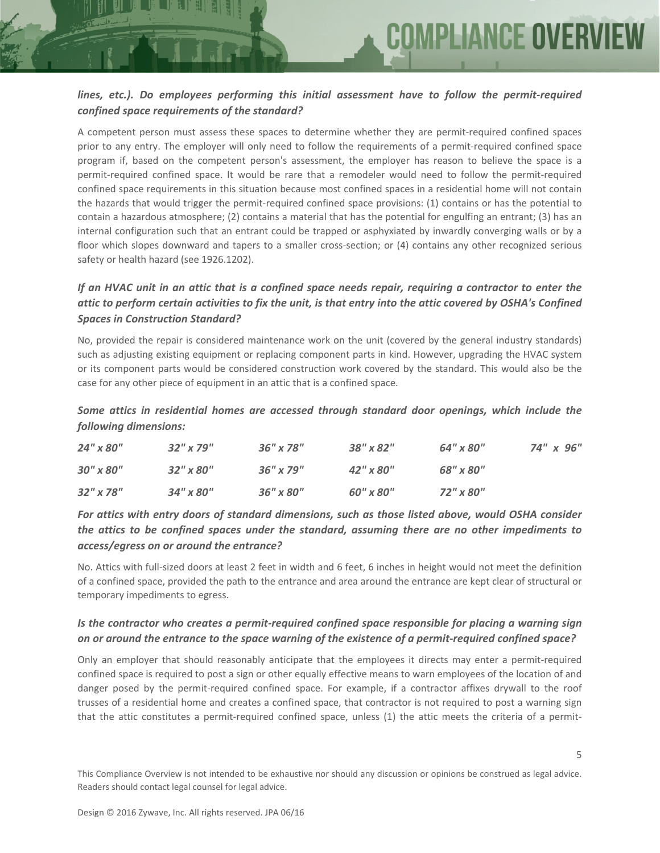## *lines, etc.). Do employees performing this initial assessment have to follow the permit‐required confined space requirements of the standard?*

A competent person must assess these spaces to determine whether they are permit‐required confined spaces prior to any entry. The employer will only need to follow the requirements of a permit‐required confined space program if, based on the competent person's assessment, the employer has reason to believe the space is a permit-required confined space. It would be rare that a remodeler would need to follow the permit-required confined space requirements in this situation because most confined spaces in a residential home will not contain the hazards that would trigger the permit‐required confined space provisions: (1) contains or has the potential to contain a hazardous atmosphere; (2) contains a material that has the potential for engulfing an entrant; (3) has an internal configuration such that an entrant could be trapped or asphyxiated by inwardly converging walls or by a floor which slopes downward and tapers to a smaller cross-section; or (4) contains any other recognized serious safety or health hazard (see 1926.1202).

## If an HVAC unit in an attic that is a confined space needs repair, requiring a contractor to enter the attic to perform certain activities to fix the unit, is that entry into the attic covered by OSHA's Confined *Spaces in Construction Standard?*

No, provided the repair is considered maintenance work on the unit (covered by the general industry standards) such as adjusting existing equipment or replacing component parts in kind. However, upgrading the HVAC system or its component parts would be considered construction work covered by the standard. This would also be the case for any other piece of equipment in an attic that is a confined space.

*Some attics in residential homes are accessed through standard door openings, which include the following dimensions:*

| 24" x 80"       | $32''$ x 79"    | $36''$ x 78"    | $38''$ x $82''$ | 64" x 80" | 74" x 96" |
|-----------------|-----------------|-----------------|-----------------|-----------|-----------|
| $30''$ x $80''$ | $32''$ x $80''$ | $36''$ x 79"    | $42''$ x $80''$ | 68" x 80" |           |
| $32''$ x 78"    | $34''$ x $80''$ | $36''$ x $80''$ | 60" x 80"       | 72" x 80" |           |

## *For attics with entry doors of standard dimensions, such as those listed above, would OSHA consider the attics to be confined spaces under the standard, assuming there are no other impediments to access/egress on or around the entrance?*

No. Attics with full-sized doors at least 2 feet in width and 6 feet, 6 inches in height would not meet the definition of a confined space, provided the path to the entrance and area around the entrance are kept clear of structural or temporary impediments to egress.

## *Is the contractor who creates a permit‐required confined space responsible for placing a warning sign* on or around the entrance to the space warning of the existence of a permit-required confined space?

Only an employer that should reasonably anticipate that the employees it directs may enter a permit‐required confined space is required to post a sign or other equally effective means to warn employees of the location of and danger posed by the permit‐required confined space. For example, if a contractor affixes drywall to the roof trusses of a residential home and creates a confined space, that contractor is not required to post a warning sign that the attic constitutes a permit-required confined space, unless (1) the attic meets the criteria of a permit-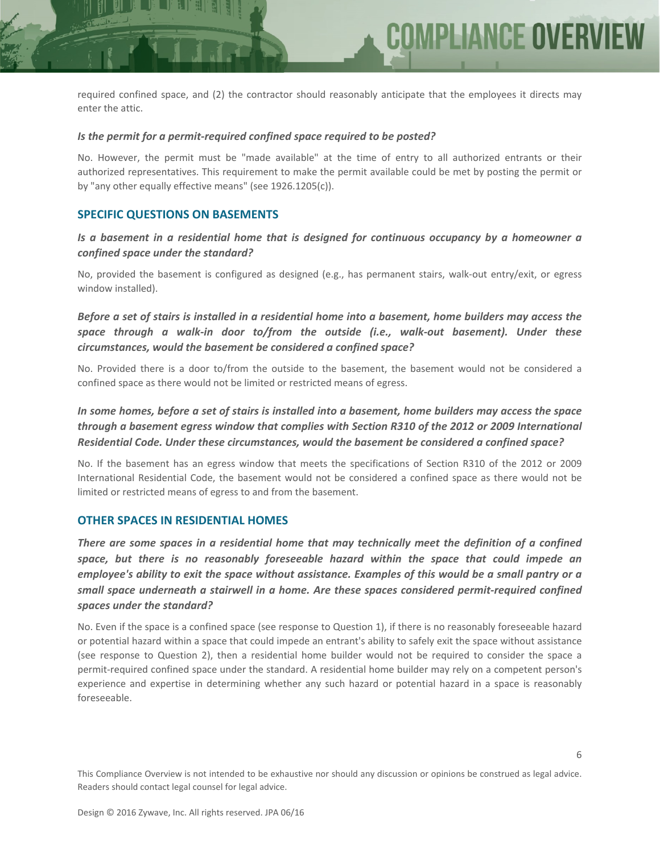required confined space, and (2) the contractor should reasonably anticipate that the employees it directs may enter the attic.

**COMPLIANCE OVER** 

#### *Is the permit for a permit‐required confined space required to be posted?*

No. However, the permit must be "made available" at the time of entry to all authorized entrants or their authorized representatives. This requirement to make the permit available could be met by posting the permit or by "any other equally effective means" (see 1926.1205(c)).

#### **SPECIFIC QUESTIONS ON BASEMENTS**

*Is a basement in a residential home that is designed for continuous occupancy by a homeowner a confined space under the standard?*

No, provided the basement is configured as designed (e.g., has permanent stairs, walk‐out entry/exit, or egress window installed).

Before a set of stairs is installed in a residential home into a basement, home builders may access the *space through a walk‐in door to/from the outside (i.e., walk‐out basement). Under these circumstances, would the basement be considered a confined space?*

No. Provided there is a door to/from the outside to the basement, the basement would not be considered a confined space as there would not be limited or restricted means of egress.

## In some homes, before a set of stairs is installed into a basement, home builders may access the space *through a basement egress window that complies with Section R310 of the 2012 or 2009 International Residential Code. Under these circumstances, would the basement be considered a confined space?*

No. If the basement has an egress window that meets the specifications of Section R310 of the 2012 or 2009 International Residential Code, the basement would not be considered a confined space as there would not be limited or restricted means of egress to and from the basement.

#### **OTHER SPACES IN RESIDENTIAL HOMES**

*There are some spaces in a residential home that may technically meet the definition of a confined space, but there is no reasonably foreseeable hazard within the space that could impede an* employee's ability to exit the space without assistance. Examples of this would be a small pantry or a *small space underneath a stairwell in a home. Are these spaces considered permit‐required confined spaces under the standard?*

No. Even if the space is a confined space (see response to Question 1), if there is no reasonably foreseeable hazard or potential hazard within a space that could impede an entrant's ability to safely exit the space without assistance (see response to Question 2), then a residential home builder would not be required to consider the space a permit-required confined space under the standard. A residential home builder may rely on a competent person's experience and expertise in determining whether any such hazard or potential hazard in a space is reasonably foreseeable.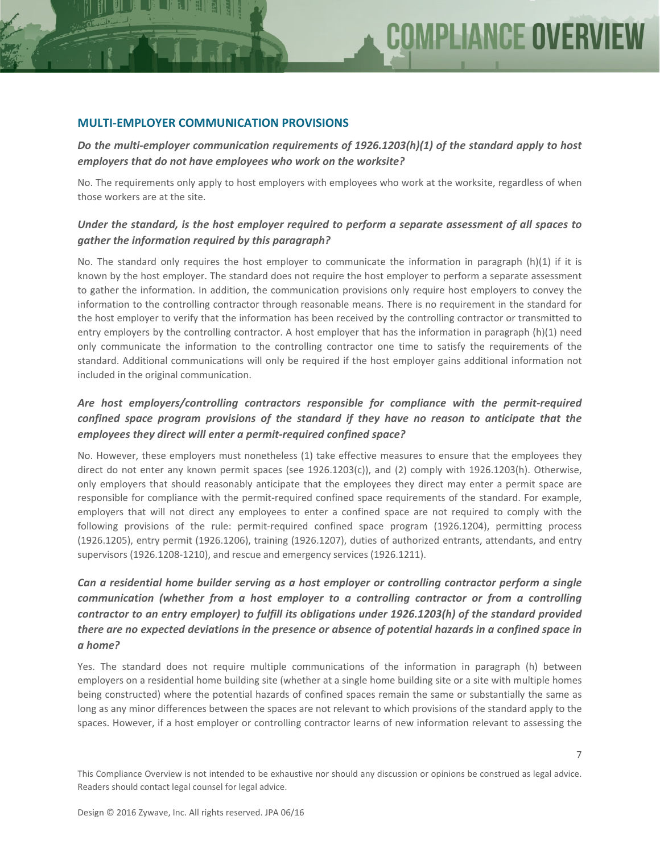#### **MULTI‐EMPLOYER COMMUNICATION PROVISIONS**

*Do the multi‐employer communication requirements of 1926.1203(h)(1) of the standard apply to host employers that do not have employees who work on the worksite?*

No. The requirements only apply to host employers with employees who work at the worksite, regardless of when those workers are at the site.

#### *Under the standard, is the host employer required to perform a separate assessment of all spaces to gather the information required by this paragraph?*

No. The standard only requires the host employer to communicate the information in paragraph (h)(1) if it is known by the host employer. The standard does not require the host employer to perform a separate assessment to gather the information. In addition, the communication provisions only require host employers to convey the information to the controlling contractor through reasonable means. There is no requirement in the standard for the host employer to verify that the information has been received by the controlling contractor or transmitted to entry employers by the controlling contractor. A host employer that has the information in paragraph (h)(1) need only communicate the information to the controlling contractor one time to satisfy the requirements of the standard. Additional communications will only be required if the host employer gains additional information not included in the original communication.

## *Are host employers/controlling contractors responsible for compliance with the permit‐required confined space program provisions of the standard if they have no reason to anticipate that the employees they direct will enter a permit‐required confined space?*

No. However, these employers must nonetheless (1) take effective measures to ensure that the employees they direct do not enter any known permit spaces (see 1926.1203(c)), and (2) comply with 1926.1203(h). Otherwise, only employers that should reasonably anticipate that the employees they direct may enter a permit space are responsible for compliance with the permit-required confined space requirements of the standard. For example, employers that will not direct any employees to enter a confined space are not required to comply with the following provisions of the rule: permit-required confined space program (1926.1204), permitting process (1926.1205), entry permit (1926.1206), training (1926.1207), duties of authorized entrants, attendants, and entry supervisors (1926.1208-1210), and rescue and emergency services (1926.1211).

## *Can a residential home builder serving as a host employer or controlling contractor perform a single communication (whether from a host employer to a controlling contractor or from a controlling contractor to an entry employer) to fulfill its obligations under 1926.1203(h) of the standard provided* there are no expected deviations in the presence or absence of potential hazards in a confined space in *a home?*

Yes. The standard does not require multiple communications of the information in paragraph (h) between employers on a residential home building site (whether at a single home building site or a site with multiple homes being constructed) where the potential hazards of confined spaces remain the same or substantially the same as long as any minor differences between the spaces are not relevant to which provisions of the standard apply to the spaces. However, if a host employer or controlling contractor learns of new information relevant to assessing the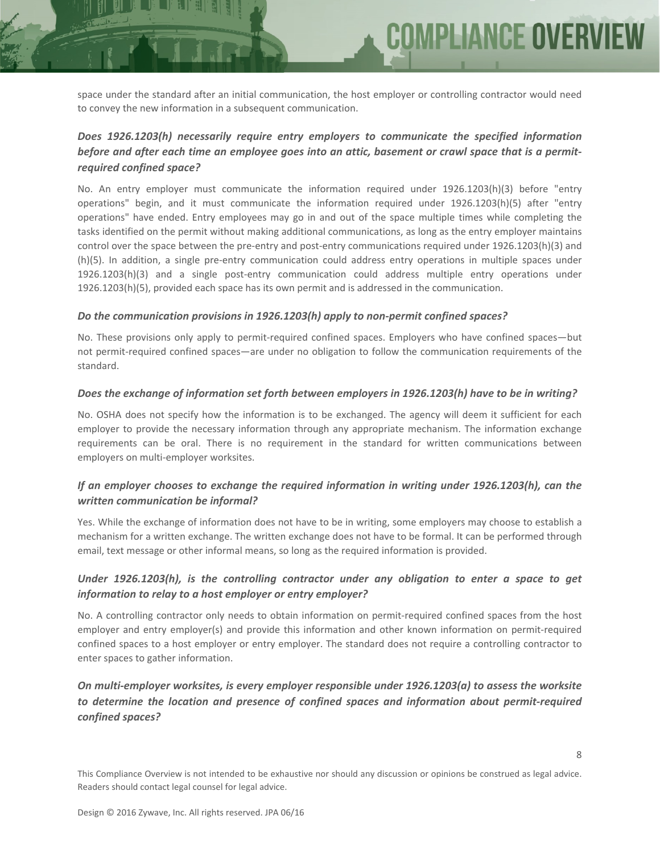space under the standard after an initial communication, the host employer or controlling contractor would need to convey the new information in a subsequent communication.

**COMPLIANCE OVER** 

## *Does 1926.1203(h) necessarily require entry employers to communicate the specified information* before and after each time an employee goes into an attic, basement or crawl space that is a permit*required confined space?*

No. An entry employer must communicate the information required under 1926.1203(h)(3) before "entry operations" begin, and it must communicate the information required under 1926.1203(h)(5) after "entry operations" have ended. Entry employees may go in and out of the space multiple times while completing the tasks identified on the permit without making additional communications, as long as the entry employer maintains control over the space between the pre-entry and post-entry communications required under 1926.1203(h)(3) and (h)(5). In addition, a single pre‐entry communication could address entry operations in multiple spaces under 1926.1203(h)(3) and a single post‐entry communication could address multiple entry operations under 1926.1203(h)(5), provided each space has its own permit and is addressed in the communication.

#### *Do the communication provisions in 1926.1203(h) apply to non‐permit confined spaces?*

No. These provisions only apply to permit-required confined spaces. Employers who have confined spaces—but not permit‐required confined spaces—are under no obligation to follow the communication requirements of the standard.

#### *Does the exchange of information set forth between employers in 1926.1203(h) have to be in writing?*

No. OSHA does not specify how the information is to be exchanged. The agency will deem it sufficient for each employer to provide the necessary information through any appropriate mechanism. The information exchange requirements can be oral. There is no requirement in the standard for written communications between employers on multi-employer worksites.

## *If an employer chooses to exchange the required information in writing under 1926.1203(h), can the written communication be informal?*

Yes. While the exchange of information does not have to be in writing, some employers may choose to establish a mechanism for a written exchange. The written exchange does not have to be formal. It can be performed through email, text message or other informal means, so long as the required information is provided.

## *Under 1926.1203(h), is the controlling contractor under any obligation to enter a space to get information to relay to a host employer or entry employer?*

No. A controlling contractor only needs to obtain information on permit-required confined spaces from the host employer and entry employer(s) and provide this information and other known information on permit-required confined spaces to a host employer or entry employer. The standard does not require a controlling contractor to enter spaces to gather information.

## *On multi‐employer worksites, is every employer responsible under 1926.1203(a) to assess the worksite to determine the location and presence of confined spaces and information about permit‐required confined spaces?*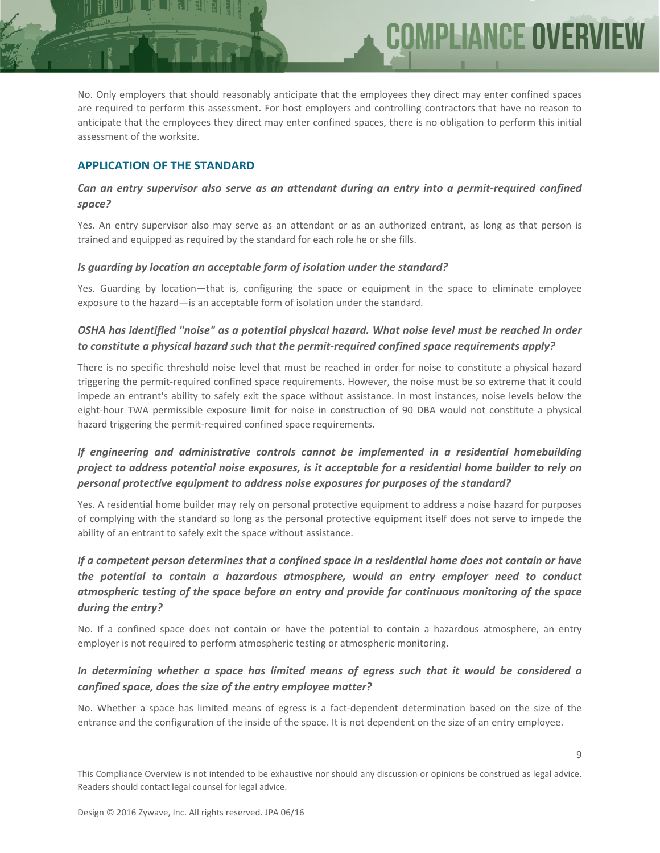No. Only employers that should reasonably anticipate that the employees they direct may enter confined spaces are required to perform this assessment. For host employers and controlling contractors that have no reason to anticipate that the employees they direct may enter confined spaces, there is no obligation to perform this initial assessment of the worksite.

COMPLIANCE OVER

## **APPLICATION OF THE STANDARD**

#### *Can an entry supervisor also serve as an attendant during an entry into a permit‐required confined space?*

Yes. An entry supervisor also may serve as an attendant or as an authorized entrant, as long as that person is trained and equipped as required by the standard for each role he or she fills.

#### *Is guarding by location an acceptable form of isolation under the standard?*

Yes. Guarding by location—that is, configuring the space or equipment in the space to eliminate employee exposure to the hazard—is an acceptable form of isolation under the standard.

## *OSHA has identified "noise" as a potential physical hazard. What noise level must be reached in order to constitute a physical hazard such that the permit‐required confined space requirements apply?*

There is no specific threshold noise level that must be reached in order for noise to constitute a physical hazard triggering the permit‐required confined space requirements. However, the noise must be so extreme that it could impede an entrant's ability to safely exit the space without assistance. In most instances, noise levels below the eight-hour TWA permissible exposure limit for noise in construction of 90 DBA would not constitute a physical hazard triggering the permit‐required confined space requirements.

## *If engineering and administrative controls cannot be implemented in a residential homebuilding project to address potential noise exposures, is it acceptable for a residential home builder to rely on personal protective equipment to address noise exposures for purposes of the standard?*

Yes. A residential home builder may rely on personal protective equipment to address a noise hazard for purposes of complying with the standard so long as the personal protective equipment itself does not serve to impede the ability of an entrant to safely exit the space without assistance.

## If a competent person determines that a confined space in a residential home does not contain or have *the potential to contain a hazardous atmosphere, would an entry employer need to conduct atmospheric testing of the space before an entry and provide for continuous monitoring of the space during the entry?*

No. If a confined space does not contain or have the potential to contain a hazardous atmosphere, an entry employer is not required to perform atmospheric testing or atmospheric monitoring.

## *In determining whether a space has limited means of egress such that it would be considered a confined space, does the size of the entry employee matter?*

No. Whether a space has limited means of egress is a fact-dependent determination based on the size of the entrance and the configuration of the inside of the space. It is not dependent on the size of an entry employee.